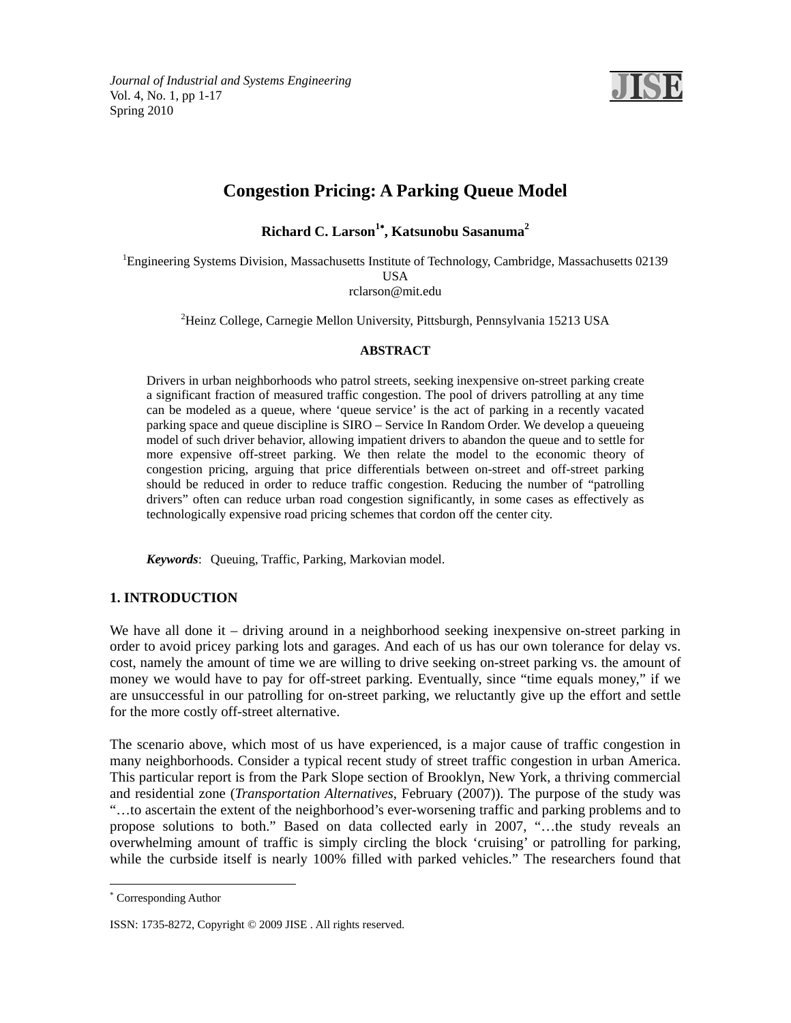

# **Congestion Pricing: A Parking Queue Model**

**Richard C. Larson<sup>1</sup> , Katsunobu Sasanuma<sup>2</sup>**

<sup>1</sup>Engineering Systems Division, Massachusetts Institute of Technology, Cambridge, Massachusetts 02139 USA rclarson@mit.edu

2 Heinz College, Carnegie Mellon University, Pittsburgh, Pennsylvania 15213 USA

## **ABSTRACT**

Drivers in urban neighborhoods who patrol streets, seeking inexpensive on-street parking create a significant fraction of measured traffic congestion. The pool of drivers patrolling at any time can be modeled as a queue, where 'queue service' is the act of parking in a recently vacated parking space and queue discipline is SIRO – Service In Random Order. We develop a queueing model of such driver behavior, allowing impatient drivers to abandon the queue and to settle for more expensive off-street parking. We then relate the model to the economic theory of congestion pricing, arguing that price differentials between on-street and off-street parking should be reduced in order to reduce traffic congestion. Reducing the number of "patrolling drivers" often can reduce urban road congestion significantly, in some cases as effectively as technologically expensive road pricing schemes that cordon off the center city.

*Keywords*: Queuing, Traffic, Parking, Markovian model.

# **1. INTRODUCTION**

We have all done it – driving around in a neighborhood seeking inexpensive on-street parking in order to avoid pricey parking lots and garages. And each of us has our own tolerance for delay vs. cost, namely the amount of time we are willing to drive seeking on-street parking vs. the amount of money we would have to pay for off-street parking. Eventually, since "time equals money," if we are unsuccessful in our patrolling for on-street parking, we reluctantly give up the effort and settle for the more costly off-street alternative.

The scenario above, which most of us have experienced, is a major cause of traffic congestion in many neighborhoods. Consider a typical recent study of street traffic congestion in urban America. This particular report is from the Park Slope section of Brooklyn, New York, a thriving commercial and residential zone (*Transportation Alternatives*, February (2007)). The purpose of the study was "…to ascertain the extent of the neighborhood's ever-worsening traffic and parking problems and to propose solutions to both." Based on data collected early in 2007, "…the study reveals an overwhelming amount of traffic is simply circling the block 'cruising' or patrolling for parking, while the curbside itself is nearly 100% filled with parked vehicles." The researchers found that

-

 Corresponding Author

ISSN: 1735-8272, Copyright © 2009 JISE . All rights reserved.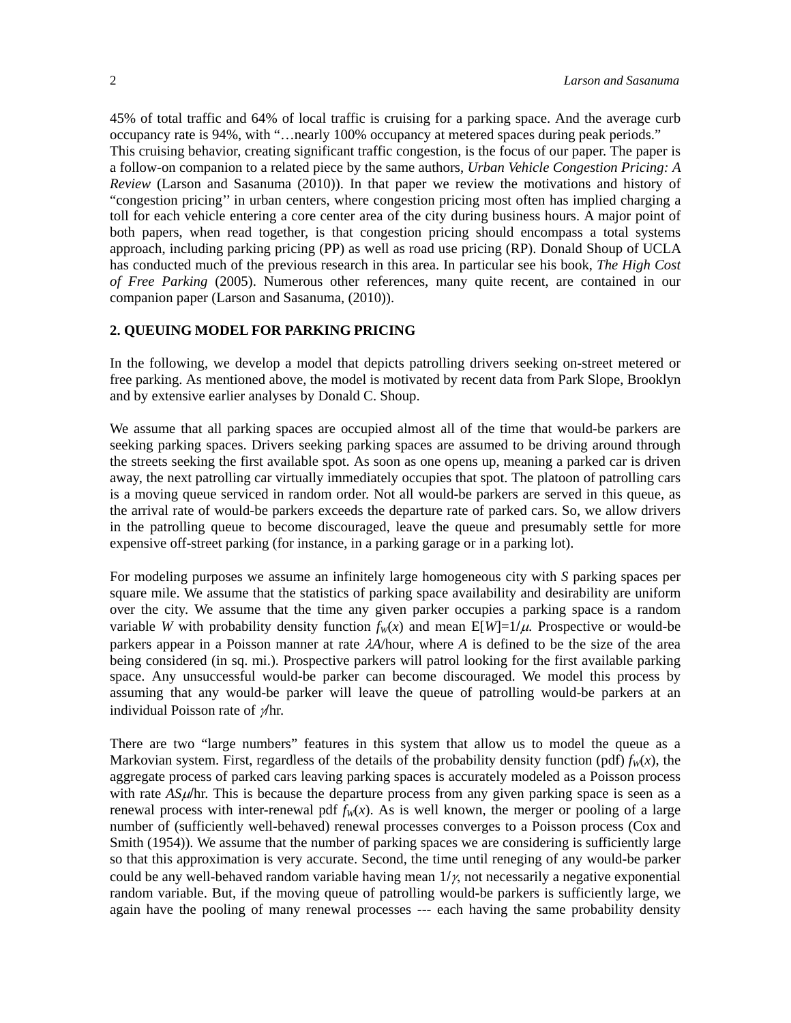45% of total traffic and 64% of local traffic is cruising for a parking space. And the average curb occupancy rate is 94%, with "…nearly 100% occupancy at metered spaces during peak periods." This cruising behavior, creating significant traffic congestion, is the focus of our paper. The paper is a follow-on companion to a related piece by the same authors, *Urban Vehicle Congestion Pricing: A Review* (Larson and Sasanuma (2010)). In that paper we review the motivations and history of "congestion pricing'' in urban centers, where congestion pricing most often has implied charging a toll for each vehicle entering a core center area of the city during business hours. A major point of both papers, when read together, is that congestion pricing should encompass a total systems approach, including parking pricing (PP) as well as road use pricing (RP). Donald Shoup of UCLA has conducted much of the previous research in this area. In particular see his book, *The High Cost of Free Parking* (2005). Numerous other references, many quite recent, are contained in our companion paper (Larson and Sasanuma, (2010)).

#### **2. QUEUING MODEL FOR PARKING PRICING**

In the following, we develop a model that depicts patrolling drivers seeking on-street metered or free parking. As mentioned above, the model is motivated by recent data from Park Slope, Brooklyn and by extensive earlier analyses by Donald C. Shoup.

We assume that all parking spaces are occupied almost all of the time that would-be parkers are seeking parking spaces. Drivers seeking parking spaces are assumed to be driving around through the streets seeking the first available spot. As soon as one opens up, meaning a parked car is driven away, the next patrolling car virtually immediately occupies that spot. The platoon of patrolling cars is a moving queue serviced in random order. Not all would-be parkers are served in this queue, as the arrival rate of would-be parkers exceeds the departure rate of parked cars. So, we allow drivers in the patrolling queue to become discouraged, leave the queue and presumably settle for more expensive off-street parking (for instance, in a parking garage or in a parking lot).

For modeling purposes we assume an infinitely large homogeneous city with *S* parking spaces per square mile. We assume that the statistics of parking space availability and desirability are uniform over the city. We assume that the time any given parker occupies a parking space is a random variable *W* with probability density function  $f_w(x)$  and mean  $E[W]=1/\mu$ . Prospective or would-be parkers appear in a Poisson manner at rate *A*/hour, where *A* is defined to be the size of the area being considered (in sq. mi.). Prospective parkers will patrol looking for the first available parking space. Any unsuccessful would-be parker can become discouraged. We model this process by assuming that any would-be parker will leave the queue of patrolling would-be parkers at an individual Poisson rate of  $\gamma$ hr.

There are two "large numbers" features in this system that allow us to model the queue as a Markovian system. First, regardless of the details of the probability density function (pdf)  $f_w(x)$ , the aggregate process of parked cars leaving parking spaces is accurately modeled as a Poisson process with rate  $A\mathcal{S}\mu/\text{hr}$ . This is because the departure process from any given parking space is seen as a renewal process with inter-renewal pdf  $f_W(x)$ . As is well known, the merger or pooling of a large number of (sufficiently well-behaved) renewal processes converges to a Poisson process (Cox and Smith (1954)). We assume that the number of parking spaces we are considering is sufficiently large so that this approximation is very accurate. Second, the time until reneging of any would-be parker could be any well-behaved random variable having mean  $1/\gamma$ , not necessarily a negative exponential random variable. But, if the moving queue of patrolling would-be parkers is sufficiently large, we again have the pooling of many renewal processes --- each having the same probability density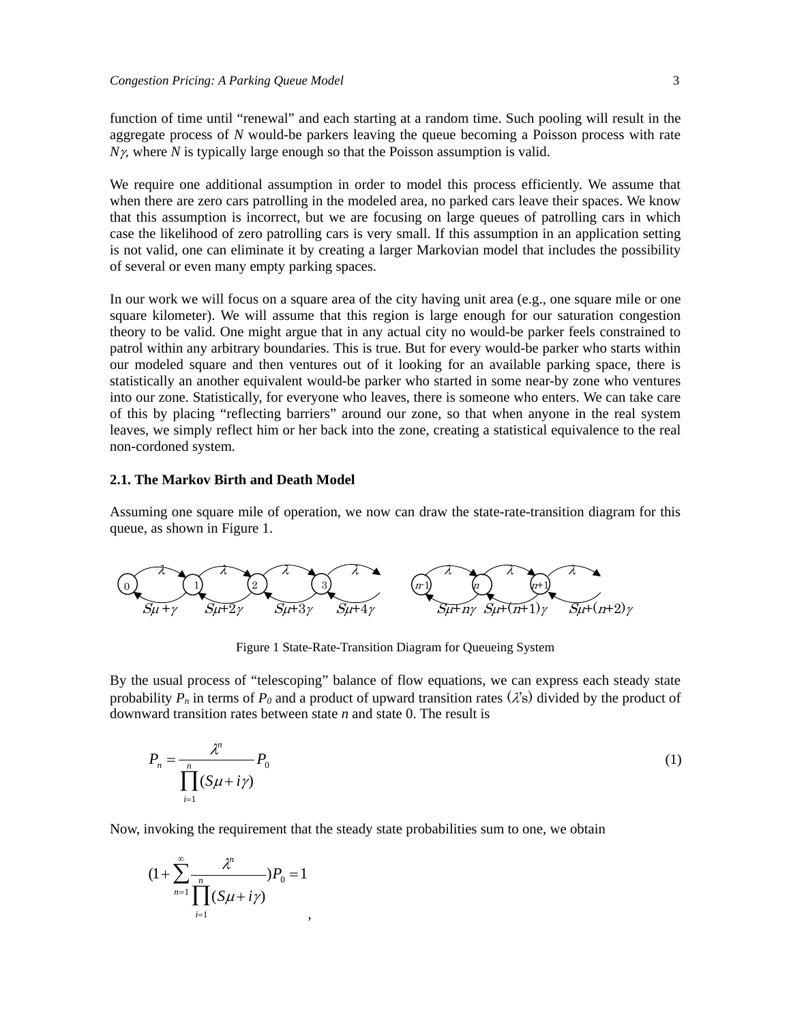function of time until "renewal" and each starting at a random time. Such pooling will result in the aggregate process of *N* would-be parkers leaving the queue becoming a Poisson process with rate  $N\gamma$ , where *N* is typically large enough so that the Poisson assumption is valid.

We require one additional assumption in order to model this process efficiently. We assume that when there are zero cars patrolling in the modeled area, no parked cars leave their spaces. We know that this assumption is incorrect, but we are focusing on large queues of patrolling cars in which case the likelihood of zero patrolling cars is very small. If this assumption in an application setting is not valid, one can eliminate it by creating a larger Markovian model that includes the possibility of several or even many empty parking spaces.

In our work we will focus on a square area of the city having unit area (e.g., one square mile or one square kilometer). We will assume that this region is large enough for our saturation congestion theory to be valid. One might argue that in any actual city no would-be parker feels constrained to patrol within any arbitrary boundaries. This is true. But for every would-be parker who starts within our modeled square and then ventures out of it looking for an available parking space, there is statistically an another equivalent would-be parker who started in some near-by zone who ventures into our zone. Statistically, for everyone who leaves, there is someone who enters. We can take care of this by placing "reflecting barriers" around our zone, so that when anyone in the real system leaves, we simply reflect him or her back into the zone, creating a statistical equivalence to the real non-cordoned system.

### **2.1. The Markov Birth and Death Model**

Assuming one square mile of operation, we now can draw the state-rate-transition diagram for this queue, as shown in Figure 1.



Figure 1 State-Rate-Transition Diagram for Queueing System

By the usual process of "telescoping" balance of flow equations, we can express each steady state probability  $P_n$  in terms of  $P_0$  and a product of upward transition rates ( $\lambda$ 's) divided by the product of downward transition rates between state *n* and state 0. The result is

$$
P_n = \frac{\lambda^n}{\prod_{i=1}^n (S\mu + i\gamma)} P_0 \tag{1}
$$

Now, invoking the requirement that the steady state probabilities sum to one, we obtain

$$
(1+\sum_{n=1}^{\infty}\frac{\lambda^n}{\prod_{i=1}^n(S\mu+i\gamma)}P_0=1
$$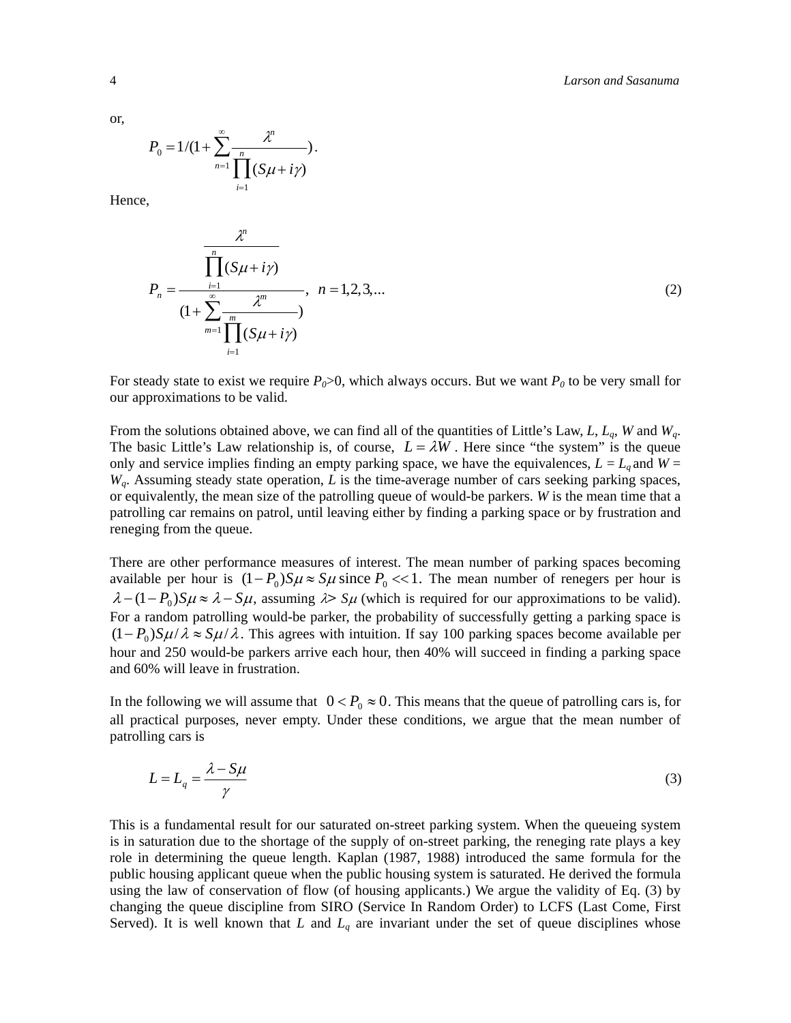or,

$$
P_0 = 1/(1+\sum_{n=1}^{\infty} \frac{\lambda^n}{\prod_{i=1}^n (S\mu + i\gamma)}).
$$

Hence,

$$
P_n = \frac{\prod_{i=1}^n (S\mu + i\gamma)}{(1 + \sum_{m=1}^\infty \frac{\chi^m}{\prod_{i=1}^m (S\mu + i\gamma)}}, \quad n = 1, 2, 3, \dots
$$
 (2)

For steady state to exist we require  $P_0 > 0$ , which always occurs. But we want  $P_0$  to be very small for our approximations to be valid.

From the solutions obtained above, we can find all of the quantities of Little's Law, *L*, *Lq*, *W* and *Wq*. The basic Little's Law relationship is, of course,  $L = \lambda W$ . Here since "the system" is the queue only and service implies finding an empty parking space, we have the equivalences,  $L = L_q$  and  $W =$ *Wq*. Assuming steady state operation, *L* is the time-average number of cars seeking parking spaces, or equivalently, the mean size of the patrolling queue of would-be parkers. *W* is the mean time that a patrolling car remains on patrol, until leaving either by finding a parking space or by frustration and reneging from the queue.

There are other performance measures of interest. The mean number of parking spaces becoming available per hour is  $(1 - P_0)S\mu \approx S\mu$  since  $P_0 \ll 1$ . The mean number of renegers per hour is  $\lambda - (1 - P_0)S\mu \approx \lambda - S\mu$ , assuming  $\lambda > S\mu$  (which is required for our approximations to be valid). For a random patrolling would-be parker, the probability of successfully getting a parking space is  $(1 - P_0)S\mu/\lambda \approx S\mu/\lambda$ . This agrees with intuition. If say 100 parking spaces become available per hour and 250 would-be parkers arrive each hour, then 40% will succeed in finding a parking space and 60% will leave in frustration.

In the following we will assume that  $0 < P_0 \approx 0$ . This means that the queue of patrolling cars is, for all practical purposes, never empty. Under these conditions, we argue that the mean number of patrolling cars is

$$
L = L_q = \frac{\lambda - S\mu}{\gamma} \tag{3}
$$

This is a fundamental result for our saturated on-street parking system. When the queueing system is in saturation due to the shortage of the supply of on-street parking, the reneging rate plays a key role in determining the queue length. Kaplan (1987, 1988) introduced the same formula for the public housing applicant queue when the public housing system is saturated. He derived the formula using the law of conservation of flow (of housing applicants.) We argue the validity of Eq. (3) by changing the queue discipline from SIRO (Service In Random Order) to LCFS (Last Come, First Served). It is well known that *L* and  $L_q$  are invariant under the set of queue disciplines whose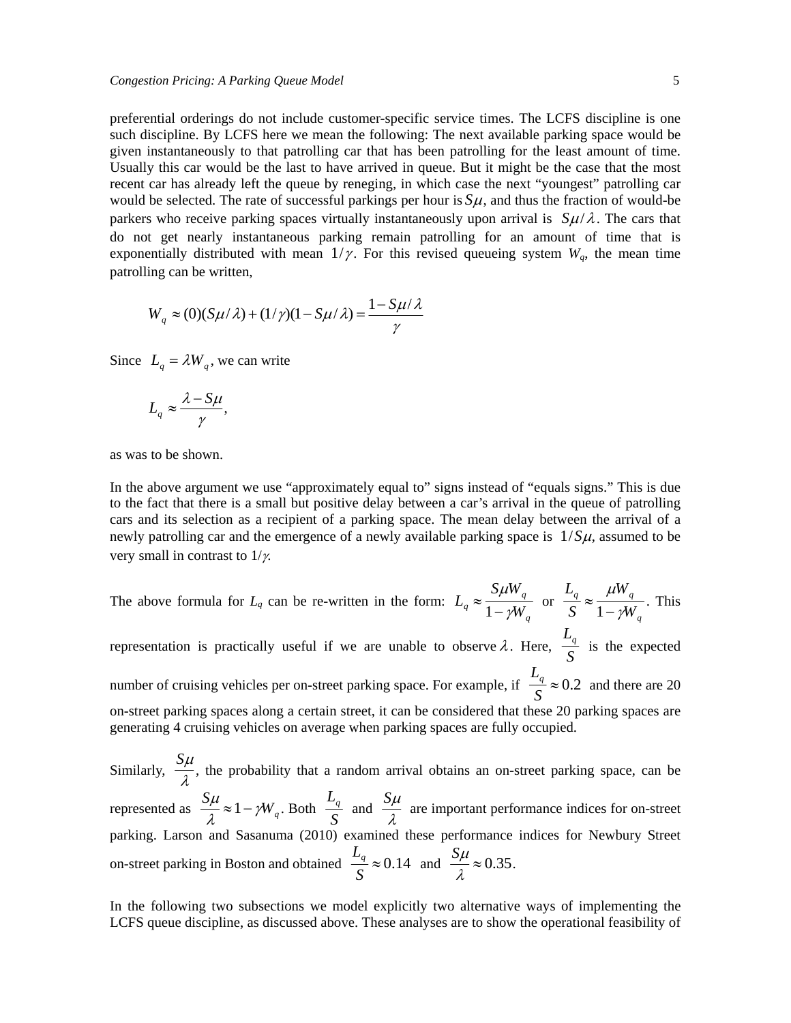preferential orderings do not include customer-specific service times. The LCFS discipline is one such discipline. By LCFS here we mean the following: The next available parking space would be given instantaneously to that patrolling car that has been patrolling for the least amount of time. Usually this car would be the last to have arrived in queue. But it might be the case that the most recent car has already left the queue by reneging, in which case the next "youngest" patrolling car would be selected. The rate of successful parkings per hour is  $S_{\mu}$ , and thus the fraction of would-be parkers who receive parking spaces virtually instantaneously upon arrival is  $S\mu/\lambda$ . The cars that do not get nearly instantaneous parking remain patrolling for an amount of time that is exponentially distributed with mean  $1/\gamma$ . For this revised queueing system  $W_q$ , the mean time patrolling can be written,

$$
W_q \approx (0)(S\mu/\lambda) + (1/\gamma)(1 - S\mu/\lambda) = \frac{1 - S\mu/\lambda}{\gamma}
$$

Since  $L_a = \lambda W_a$ , we can write

$$
L_q \approx \frac{\lambda - S\mu}{\gamma},
$$

as was to be shown.

In the above argument we use "approximately equal to" signs instead of "equals signs." This is due to the fact that there is a small but positive delay between a car's arrival in the queue of patrolling cars and its selection as a recipient of a parking space. The mean delay between the arrival of a newly patrolling car and the emergence of a newly available parking space is  $1/S\mu$ , assumed to be very small in contrast to  $1/\gamma$ .

The above formula for  $L_q$  can be re-written in the form:  $L_q \approx \frac{S \mu W_q}{1 - s M_q}$  $\frac{S \mu W_q}{1 - \gamma W_q}$  or  $\frac{L_q}{S} \approx \frac{\mu W_q}{1 - \gamma W_q}$ . This

representation is practically useful if we are unable to observe  $\lambda$ . Here,  $\frac{L_q}{a}$  $\frac{q}{s}$  is the expected number of cruising vehicles per on-street parking space. For example, if  $\frac{L_q}{q}$  $\frac{q}{s} \approx 0.2$  and there are 20 on-street parking spaces along a certain street, it can be considered that these 20 parking spaces are generating 4 cruising vehicles on average when parking spaces are fully occupied.

Similarly,  $\frac{S\mu}{\sigma}$  $\frac{\lambda}{\lambda}$ , the probability that a random arrival obtains an on-street parking space, can be represented as  $\frac{S\mu}{\lambda} \approx 1 - \gamma W_q$ . Both  $L_q^+$  $\frac{L_q}{S}$  and  $\frac{S\mu}{\lambda}$  $\frac{\lambda}{\lambda}$  are important performance indices for on-street parking. Larson and Sasanuma (2010) examined these performance indices for Newbury Street on-street parking in Boston and obtained  $\frac{L_q}{q}$  $\frac{L_q}{S} \approx 0.14$  and  $\frac{S\mu}{\lambda} \approx 0.35$ .

In the following two subsections we model explicitly two alternative ways of implementing the LCFS queue discipline, as discussed above. These analyses are to show the operational feasibility of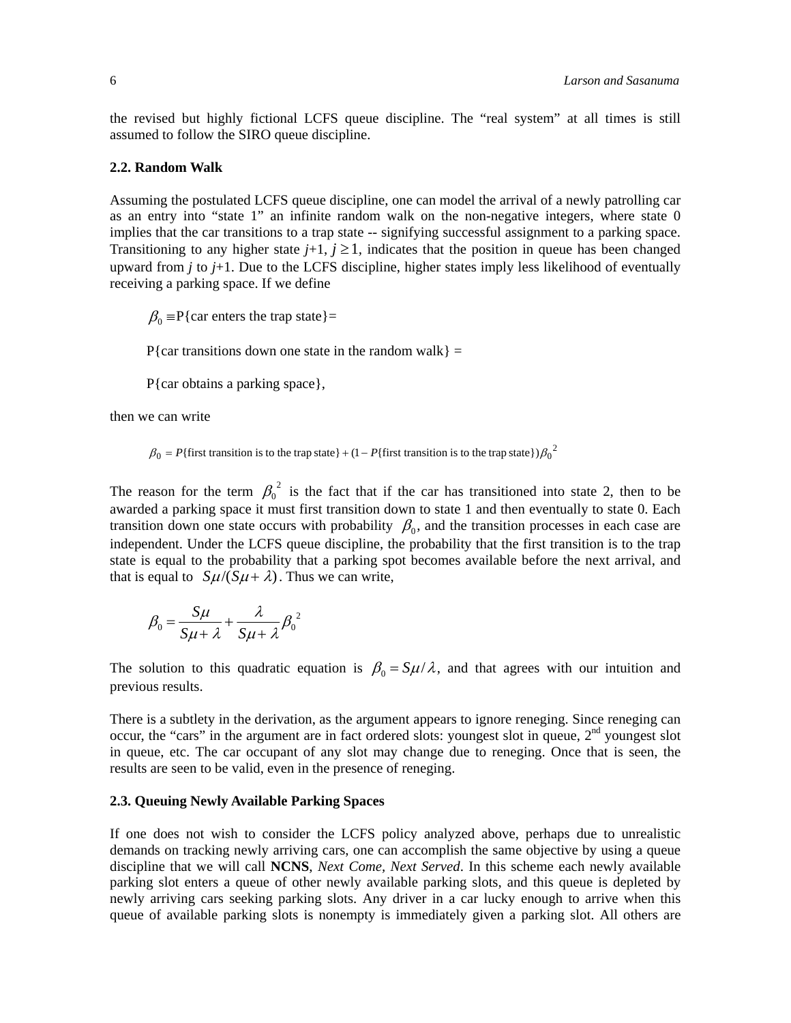the revised but highly fictional LCFS queue discipline. The "real system" at all times is still assumed to follow the SIRO queue discipline.

#### **2.2. Random Walk**

Assuming the postulated LCFS queue discipline, one can model the arrival of a newly patrolling car as an entry into "state 1" an infinite random walk on the non-negative integers, where state 0 implies that the car transitions to a trap state -- signifying successful assignment to a parking space. Transitioning to any higher state  $j+1$ ,  $j \ge 1$ , indicates that the position in queue has been changed upward from *j* to *j*+1. Due to the LCFS discipline, higher states imply less likelihood of eventually receiving a parking space. If we define

 $\beta_0$  = P{car enters the trap state}=

P{car transitions down one state in the random walk} =

P{car obtains a parking space},

then we can write

 $\beta_0 = P$ {first transition is to the trap state} + (1 – P{first transition is to the trap state}) $\beta_0^2$ 

The reason for the term  $\beta_0^2$  is the fact that if the car has transitioned into state 2, then to be awarded a parking space it must first transition down to state 1 and then eventually to state 0. Each transition down one state occurs with probability  $\beta_0$ , and the transition processes in each case are independent. Under the LCFS queue discipline, the probability that the first transition is to the trap state is equal to the probability that a parking spot becomes available before the next arrival, and that is equal to  $S\mu/(S\mu + \lambda)$ . Thus we can write,

$$
\beta_0 = \frac{S\mu}{S\mu + \lambda} + \frac{\lambda}{S\mu + \lambda} {\beta_0}^2
$$

The solution to this quadratic equation is  $\beta_0 = S\mu/\lambda$ , and that agrees with our intuition and previous results.

There is a subtlety in the derivation, as the argument appears to ignore reneging. Since reneging can occur, the "cars" in the argument are in fact ordered slots: youngest slot in queue, 2<sup>nd</sup> youngest slot in queue, etc. The car occupant of any slot may change due to reneging. Once that is seen, the results are seen to be valid, even in the presence of reneging.

#### **2.3. Queuing Newly Available Parking Spaces**

If one does not wish to consider the LCFS policy analyzed above, perhaps due to unrealistic demands on tracking newly arriving cars, one can accomplish the same objective by using a queue discipline that we will call **NCNS**, *Next Come, Next Served*. In this scheme each newly available parking slot enters a queue of other newly available parking slots, and this queue is depleted by newly arriving cars seeking parking slots. Any driver in a car lucky enough to arrive when this queue of available parking slots is nonempty is immediately given a parking slot. All others are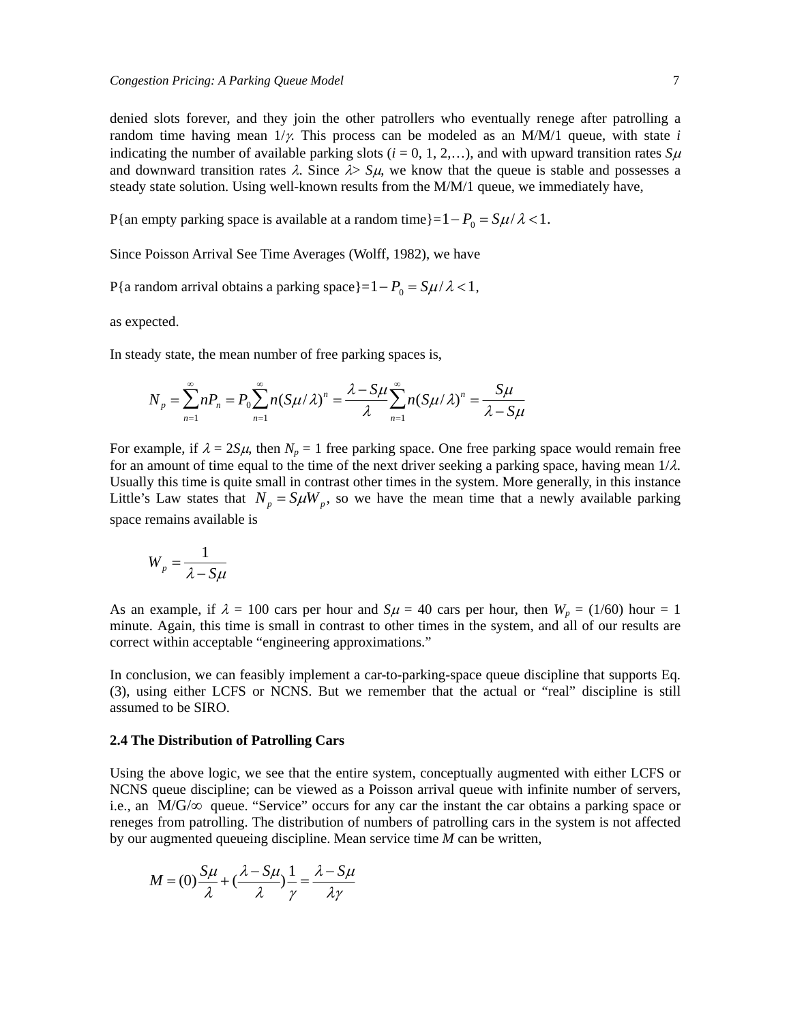denied slots forever, and they join the other patrollers who eventually renege after patrolling a random time having mean  $1/y$ . This process can be modeled as an  $M/M/1$  queue, with state *i* indicating the number of available parking slots ( $i = 0, 1, 2,...$ ), and with upward transition rates  $S\mu$ and downward transition rates  $\lambda$ . Since  $\lambda$   $\lambda$   $\mu$ , we know that the queue is stable and possesses a steady state solution. Using well-known results from the M/M/1 queue, we immediately have,

P{an empty parking space is available at a random time}= $1 - P_0 = S\mu/\lambda < 1$ .

Since Poisson Arrival See Time Averages (Wolff, 1982), we have

P{a random arrival obtains a parking space}= $1 - P_0 = S\mu/\lambda < 1$ ,

as expected.

In steady state, the mean number of free parking spaces is,

$$
N_p = \sum_{n=1}^{\infty} n P_n = P_0 \sum_{n=1}^{\infty} n (S \mu / \lambda)^n = \frac{\lambda - S \mu}{\lambda} \sum_{n=1}^{\infty} n (S \mu / \lambda)^n = \frac{S \mu}{\lambda - S \mu}
$$

For example, if  $\lambda = 2S\mu$ , then  $N_p = 1$  free parking space. One free parking space would remain free for an amount of time equal to the time of the next driver seeking a parking space, having mean  $1/\lambda$ . Usually this time is quite small in contrast other times in the system. More generally, in this instance Little's Law states that  $N_p = S \mu W_p$ , so we have the mean time that a newly available parking space remains available is

$$
W_p = \frac{1}{\lambda - S\mu}
$$

As an example, if  $\lambda = 100$  cars per hour and  $S\mu = 40$  cars per hour, then  $W_p = (1/60)$  hour = 1 minute. Again, this time is small in contrast to other times in the system, and all of our results are correct within acceptable "engineering approximations."

In conclusion, we can feasibly implement a car-to-parking-space queue discipline that supports Eq. (3), using either LCFS or NCNS. But we remember that the actual or "real" discipline is still assumed to be SIRO.

#### **2.4 The Distribution of Patrolling Cars**

Using the above logic, we see that the entire system, conceptually augmented with either LCFS or NCNS queue discipline; can be viewed as a Poisson arrival queue with infinite number of servers, i.e., an  $M/G/\infty$  queue. "Service" occurs for any car the instant the car obtains a parking space or reneges from patrolling. The distribution of numbers of patrolling cars in the system is not affected by our augmented queueing discipline. Mean service time *M* can be written,

$$
M = (0)\frac{S\mu}{\lambda} + (\frac{\lambda - S\mu}{\lambda})\frac{1}{\gamma} = \frac{\lambda - S\mu}{\lambda \gamma}
$$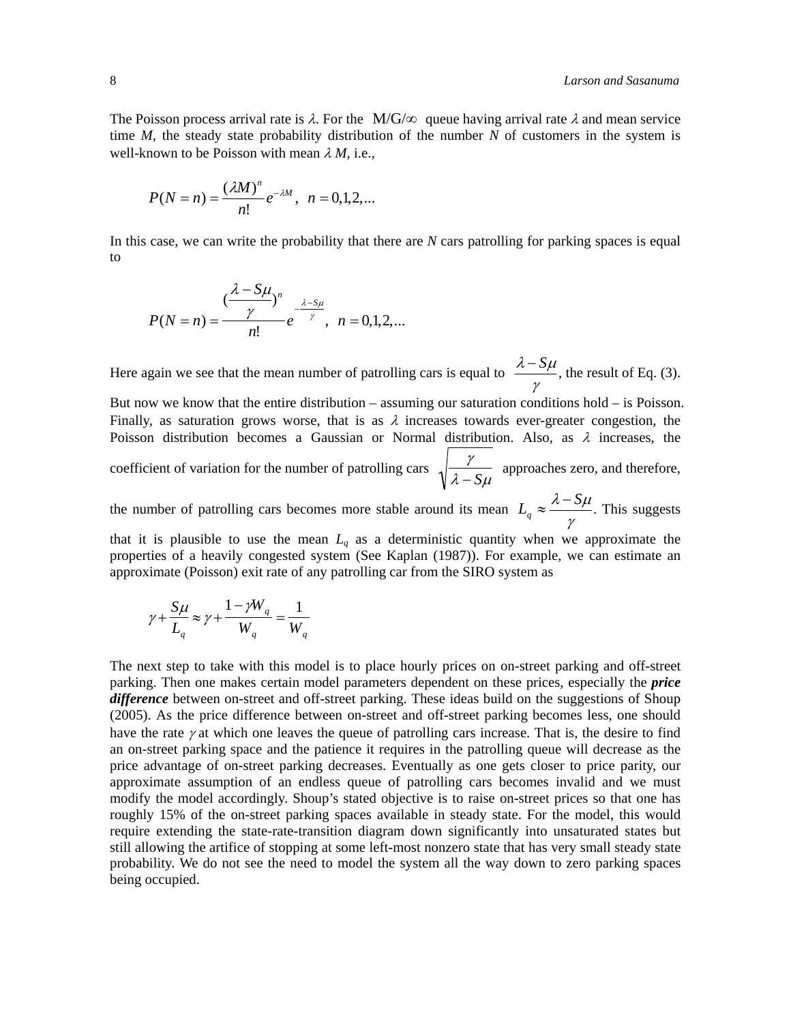The Poisson process arrival rate is  $\lambda$ . For the M/G/ $\infty$  queue having arrival rate  $\lambda$  and mean service time *M*, the steady state probability distribution of the number *N* of customers in the system is well-known to be Poisson with mean  $\lambda M$ , i.e.,

$$
P(N = n) = \frac{(\lambda M)^n}{n!} e^{-\lambda M}, \ \ n = 0, 1, 2, \dots
$$

In this case, we can write the probability that there are *N* cars patrolling for parking spaces is equal to

$$
P(N = n) = \frac{(\frac{\lambda - S\mu}{\gamma})^n}{n!}e^{-\frac{\lambda - S\mu}{\gamma}}, \ \ n = 0, 1, 2, \dots
$$

Here again we see that the mean number of patrolling cars is equal to  $\lambda - S\mu$ γ , the result of Eq. (3). But now we know that the entire distribution – assuming our saturation conditions hold – is Poisson. Finally, as saturation grows worse, that is as  $\lambda$  increases towards ever-greater congestion, the Poisson distribution becomes a Gaussian or Normal distribution. Also, as  $\lambda$  increases, the coefficient of variation for the number of patrolling cars  $\sqrt{\frac{\gamma}{\gamma}}$  $\frac{7}{\lambda - S\mu}$  approaches zero, and therefore, the number of patrolling cars becomes more stable around its mean  $L_q \approx \frac{\lambda - S\mu}{\gamma}$ . This suggests that it is plausible to use the mean  $L_q$  as a deterministic quantity when we approximate the properties of a heavily congested system (See Kaplan (1987)). For example, we can estimate an

approximate (Poisson) exit rate of any patrolling car from the SIRO system as

$$
\gamma + \frac{S\mu}{L_q} \approx \gamma + \frac{1 - \gamma W_q}{W_q} = \frac{1}{W_q}
$$

The next step to take with this model is to place hourly prices on on-street parking and off-street parking. Then one makes certain model parameters dependent on these prices, especially the *price difference* between on-street and off-street parking. These ideas build on the suggestions of Shoup (2005). As the price difference between on-street and off-street parking becomes less, one should have the rate  $\gamma$  at which one leaves the queue of patrolling cars increase. That is, the desire to find an on-street parking space and the patience it requires in the patrolling queue will decrease as the price advantage of on-street parking decreases. Eventually as one gets closer to price parity, our approximate assumption of an endless queue of patrolling cars becomes invalid and we must modify the model accordingly. Shoup's stated objective is to raise on-street prices so that one has roughly 15% of the on-street parking spaces available in steady state. For the model, this would require extending the state-rate-transition diagram down significantly into unsaturated states but still allowing the artifice of stopping at some left-most nonzero state that has very small steady state probability. We do not see the need to model the system all the way down to zero parking spaces being occupied.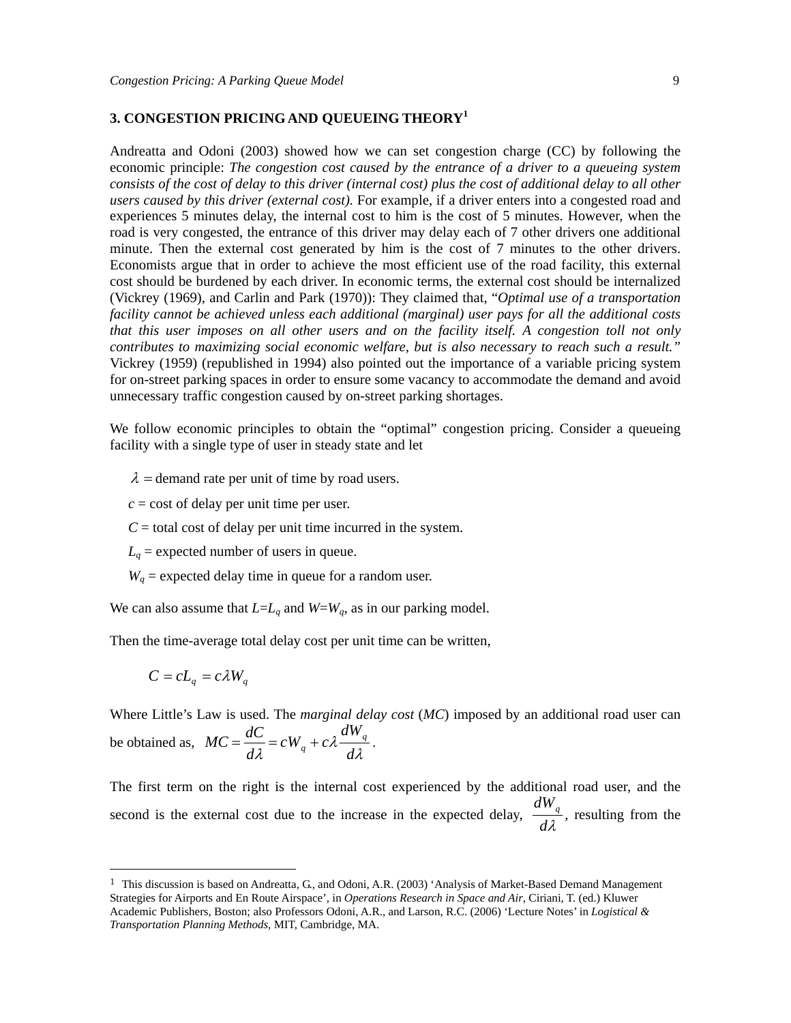### **3. CONGESTION PRICING AND QUEUEING THEORY<sup>1</sup>**

Andreatta and Odoni (2003) showed how we can set congestion charge (CC) by following the economic principle: *The congestion cost caused by the entrance of a driver to a queueing system consists of the cost of delay to this driver (internal cost) plus the cost of additional delay to all other users caused by this driver (external cost).* For example, if a driver enters into a congested road and experiences 5 minutes delay, the internal cost to him is the cost of 5 minutes. However, when the road is very congested, the entrance of this driver may delay each of 7 other drivers one additional minute. Then the external cost generated by him is the cost of 7 minutes to the other drivers. Economists argue that in order to achieve the most efficient use of the road facility, this external cost should be burdened by each driver. In economic terms, the external cost should be internalized (Vickrey (1969), and Carlin and Park (1970)): They claimed that, "*Optimal use of a transportation facility cannot be achieved unless each additional (marginal) user pays for all the additional costs that this user imposes on all other users and on the facility itself. A congestion toll not only contributes to maximizing social economic welfare, but is also necessary to reach such a result."* Vickrey (1959) (republished in 1994) also pointed out the importance of a variable pricing system for on-street parking spaces in order to ensure some vacancy to accommodate the demand and avoid unnecessary traffic congestion caused by on-street parking shortages.

We follow economic principles to obtain the "optimal" congestion pricing. Consider a queueing facility with a single type of user in steady state and let

 $\lambda$  = demand rate per unit of time by road users.

 $c = \text{cost of delay per unit time per user.}$ 

 $C =$  total cost of delay per unit time incurred in the system.

- $L_q$  = expected number of users in queue.
- $W_q$  = expected delay time in queue for a random user.

We can also assume that  $L=L_q$  and  $W=W_q$ , as in our parking model.

Then the time-average total delay cost per unit time can be written,

$$
C = cL_q = c\lambda W_q
$$

-

Where Little's Law is used. The *marginal delay cost* (*MC*) imposed by an additional road user can be obtained as,  $MC = \frac{dC}{d\Omega}$  $\frac{dC}{d\lambda} = cW_q + c\lambda$ *dWq*  $\frac{q}{d\lambda}$ .

The first term on the right is the internal cost experienced by the additional road user, and the second is the external cost due to the increase in the expected delay,  $\frac{dW_q}{dt}$  $\frac{d\lambda}{d\lambda}$ , resulting from the

<sup>1</sup> This discussion is based on Andreatta, G., and Odoni, A.R. (2003) 'Analysis of Market-Based Demand Management Strategies for Airports and En Route Airspace'*,* in *Operations Research in Space and Air*, Ciriani, T. (ed.) Kluwer Academic Publishers, Boston; also Professors Odoni, A.R., and Larson, R.C. (2006) 'Lecture Notes' in *Logistical & Transportation Planning Methods,* MIT, Cambridge, MA.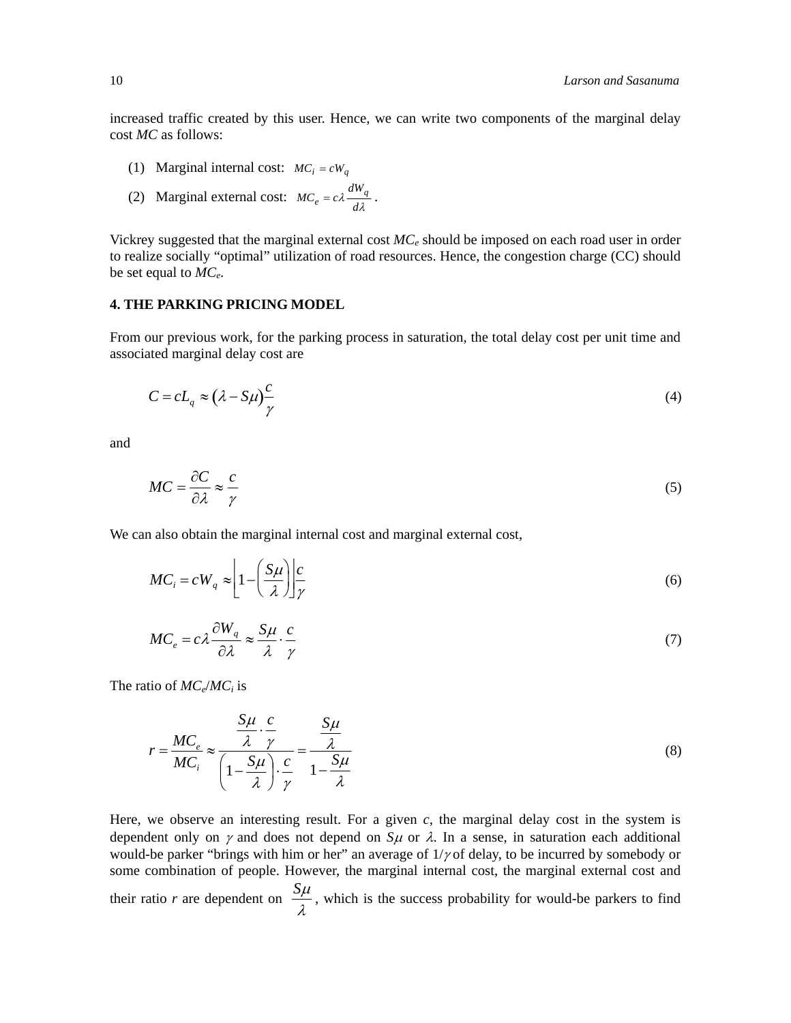increased traffic created by this user. Hence, we can write two components of the marginal delay cost *MC* as follows:

- (1) Marginal internal cost:  $MC_i = cW_q$
- (2) Marginal external cost:  $MC_e = c\lambda \frac{dM_g}{d\lambda}$  $MC_e = c\lambda \frac{dW_q}{dt}$ .

Vickrey suggested that the marginal external cost  $MC_e$  should be imposed on each road user in order to realize socially "optimal" utilization of road resources. Hence, the congestion charge (CC) should be set equal to *MCe*.

## **4. THE PARKING PRICING MODEL**

From our previous work, for the parking process in saturation, the total delay cost per unit time and associated marginal delay cost are

$$
C = cL_q \approx \left(\lambda - S\mu\right)\frac{c}{\gamma} \tag{4}
$$

and

$$
MC = \frac{\partial C}{\partial \lambda} \approx \frac{c}{\gamma} \tag{5}
$$

We can also obtain the marginal internal cost and marginal external cost,

$$
MC_i = cW_q \approx \left[1 - \left(\frac{S\mu}{\lambda}\right)\right] \frac{c}{\gamma}
$$
\n(6)

$$
MC_e = c\lambda \frac{\partial W_q}{\partial \lambda} \approx \frac{S\mu}{\lambda} \cdot \frac{c}{\gamma}
$$
 (7)

The ratio of *MCe*/*MCi* is

$$
r = \frac{MC_e}{MC_i} \approx \frac{\frac{S\mu}{\lambda} \cdot \frac{c}{\gamma}}{\left(1 - \frac{S\mu}{\lambda}\right) \cdot \frac{c}{\gamma}} = \frac{\frac{S\mu}{\lambda}}{1 - \frac{S\mu}{\lambda}}
$$
(8)

Here, we observe an interesting result. For a given  $c$ , the marginal delay cost in the system is dependent only on  $\gamma$  and does not depend on *S* $\mu$  or  $\lambda$ . In a sense, in saturation each additional would-be parker "brings with him or her" an average of  $1/\gamma$  of delay, to be incurred by somebody or some combination of people. However, the marginal internal cost, the marginal external cost and their ratio *r* are dependent on  $\frac{S\mu}{\lambda}$ , which is the success probability for would-be parkers to find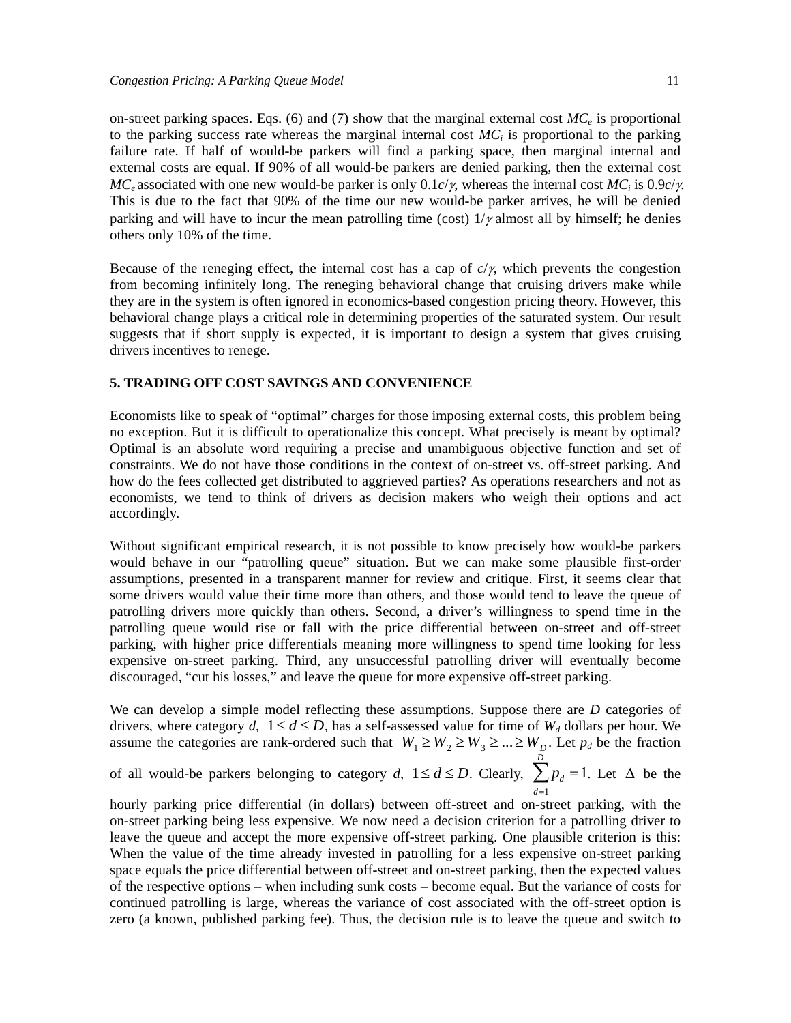on-street parking spaces. Eqs. (6) and (7) show that the marginal external cost  $MC_e$  is proportional to the parking success rate whereas the marginal internal cost  $MC_i$  is proportional to the parking failure rate. If half of would-be parkers will find a parking space, then marginal internal and external costs are equal. If 90% of all would-be parkers are denied parking, then the external cost  $MC_e$  associated with one new would-be parker is only 0.1*c/y*, whereas the internal cost  $MC_i$  is 0.9*c/y*. This is due to the fact that 90% of the time our new would-be parker arrives, he will be denied parking and will have to incur the mean patrolling time (cost)  $1/\gamma$  almost all by himself; he denies others only 10% of the time.

Because of the reneging effect, the internal cost has a cap of  $c/\gamma$ , which prevents the congestion from becoming infinitely long. The reneging behavioral change that cruising drivers make while they are in the system is often ignored in economics-based congestion pricing theory. However, this behavioral change plays a critical role in determining properties of the saturated system. Our result suggests that if short supply is expected, it is important to design a system that gives cruising drivers incentives to renege.

# **5. TRADING OFF COST SAVINGS AND CONVENIENCE**

Economists like to speak of "optimal" charges for those imposing external costs, this problem being no exception. But it is difficult to operationalize this concept. What precisely is meant by optimal? Optimal is an absolute word requiring a precise and unambiguous objective function and set of constraints. We do not have those conditions in the context of on-street vs. off-street parking. And how do the fees collected get distributed to aggrieved parties? As operations researchers and not as economists, we tend to think of drivers as decision makers who weigh their options and act accordingly.

Without significant empirical research, it is not possible to know precisely how would-be parkers would behave in our "patrolling queue" situation. But we can make some plausible first-order assumptions, presented in a transparent manner for review and critique. First, it seems clear that some drivers would value their time more than others, and those would tend to leave the queue of patrolling drivers more quickly than others. Second, a driver's willingness to spend time in the patrolling queue would rise or fall with the price differential between on-street and off-street parking, with higher price differentials meaning more willingness to spend time looking for less expensive on-street parking. Third, any unsuccessful patrolling driver will eventually become discouraged, "cut his losses," and leave the queue for more expensive off-street parking.

We can develop a simple model reflecting these assumptions. Suppose there are *D* categories of drivers, where category *d*,  $1 \le d \le D$ , has a self-assessed value for time of  $W_d$  dollars per hour. We assume the categories are rank-ordered such that  $W_1 \ge W_2 \ge W_3 \ge ... \ge W_D$ . Let  $p_d$  be the fraction

of all would-be parkers belonging to category *d*,  $1 \le d \le D$ . Clearly,  $\sum p_d$  $d=1$  $\sum_{l=1}^{D} p_d = 1$ . Let  $\Delta$  be the

hourly parking price differential (in dollars) between off-street and on-street parking, with the on-street parking being less expensive. We now need a decision criterion for a patrolling driver to leave the queue and accept the more expensive off-street parking. One plausible criterion is this: When the value of the time already invested in patrolling for a less expensive on-street parking space equals the price differential between off-street and on-street parking, then the expected values of the respective options – when including sunk costs – become equal. But the variance of costs for continued patrolling is large, whereas the variance of cost associated with the off-street option is zero (a known, published parking fee). Thus, the decision rule is to leave the queue and switch to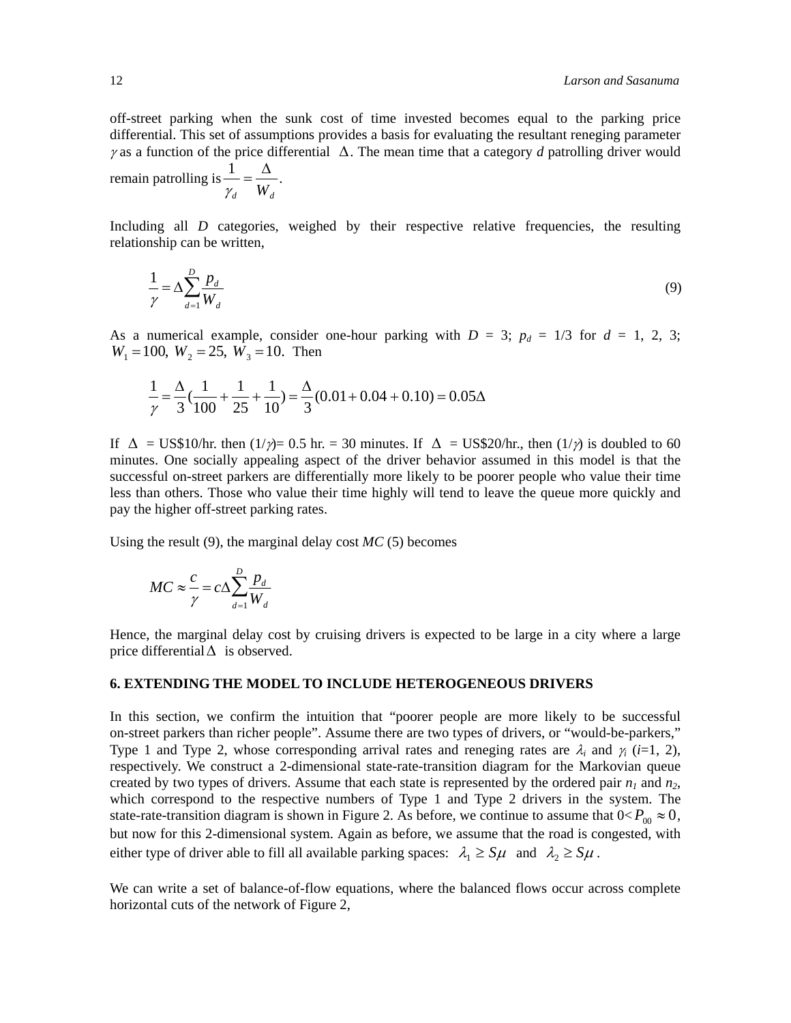off-street parking when the sunk cost of time invested becomes equal to the parking price differential. This set of assumptions provides a basis for evaluating the resultant reneging parameter  $\gamma$  as a function of the price differential  $\Delta$ . The mean time that a category *d* patrolling driver would remain patrolling is  $\frac{1}{1}$  $=\frac{\Delta}{\Delta}$  $W_d$ .

Including all *D* categories, weighed by their respective relative frequencies, the resulting relationship can be written,

$$
\frac{1}{\gamma} = \Delta \sum_{d=1}^{D} \frac{p_d}{W_d} \tag{9}
$$

As a numerical example, consider one-hour parking with  $D = 3$ ;  $p_d = 1/3$  for  $d = 1, 2, 3$ ;  $W_1 = 100$ ,  $W_2 = 25$ ,  $W_3 = 10$ . Then

$$
\frac{1}{\gamma} = \frac{\Delta}{3} \left( \frac{1}{100} + \frac{1}{25} + \frac{1}{10} \right) = \frac{\Delta}{3} (0.01 + 0.04 + 0.10) = 0.05 \Delta
$$

If  $\Delta = \text{US$10/hr}$ , then  $\frac{1}{\gamma} = 0.5$  hr. = 30 minutes. If  $\Delta = \text{US$20/hr}$ , then  $\frac{1}{\gamma}$  is doubled to 60 minutes. One socially appealing aspect of the driver behavior assumed in this model is that the successful on-street parkers are differentially more likely to be poorer people who value their time less than others. Those who value their time highly will tend to leave the queue more quickly and pay the higher off-street parking rates.

Using the result (9), the marginal delay cost *MC* (5) becomes

$$
MC \approx \frac{c}{\gamma} = c\Delta \sum_{d=1}^{D} \frac{p_d}{W_d}
$$

 $\mathcal{V}_d$ 

Hence, the marginal delay cost by cruising drivers is expected to be large in a city where a large price differential  $\Delta$  is observed.

### **6. EXTENDING THE MODEL TO INCLUDE HETEROGENEOUS DRIVERS**

In this section, we confirm the intuition that "poorer people are more likely to be successful on-street parkers than richer people". Assume there are two types of drivers, or "would-be-parkers," Type 1 and Type 2, whose corresponding arrival rates and reneging rates are  $\lambda_i$  and  $\gamma_i$  (*i*=1, 2), respectively. We construct a 2-dimensional state-rate-transition diagram for the Markovian queue created by two types of drivers. Assume that each state is represented by the ordered pair  $n_1$  and  $n_2$ , which correspond to the respective numbers of Type 1 and Type 2 drivers in the system. The state-rate-transition diagram is shown in Figure 2. As before, we continue to assume that  $0 < P_{00} \approx 0$ , but now for this 2-dimensional system. Again as before, we assume that the road is congested, with either type of driver able to fill all available parking spaces:  $\lambda_1 \geq S\mu$  and  $\lambda_2 \geq S\mu$ .

We can write a set of balance-of-flow equations, where the balanced flows occur across complete horizontal cuts of the network of Figure 2,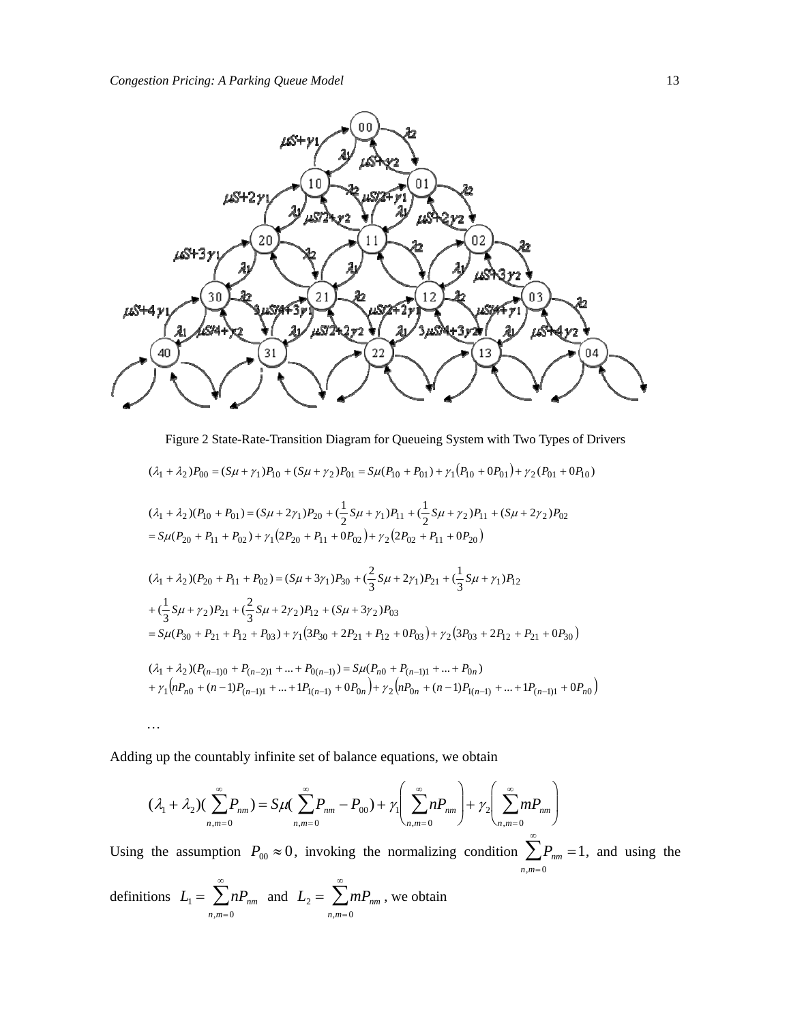

Figure 2 State-Rate-Transition Diagram for Queueing System with Two Types of Drivers

$$
(\lambda_1 + \lambda_2)P_{00} = (S\mu + \gamma_1)P_{10} + (S\mu + \gamma_2)P_{01} = S\mu(P_{10} + P_{01}) + \gamma_1(P_{10} + 0P_{01}) + \gamma_2(P_{01} + 0P_{10})
$$
  
\n
$$
(\lambda_1 + \lambda_2)(P_{10} + P_{01}) = (S\mu + 2\gamma_1)P_{20} + (\frac{1}{2}S\mu + \gamma_1)P_{11} + (\frac{1}{2}S\mu + \gamma_2)P_{11} + (S\mu + 2\gamma_2)P_{02}
$$
  
\n
$$
= S\mu(P_{20} + P_{11} + P_{02}) + \gamma_1(2P_{20} + P_{11} + 0P_{02}) + \gamma_2(2P_{02} + P_{11} + 0P_{20})
$$
  
\n
$$
(\lambda_1 + \lambda_2)(P_{20} + P_{11} + P_{02}) = (S\mu + 3\gamma_1)P_{30} + (\frac{2}{3}S\mu + 2\gamma_1)P_{21} + (\frac{1}{3}S\mu + \gamma_1)P_{12}
$$
  
\n
$$
+ (\frac{1}{3}S\mu + \gamma_2)P_{21} + (\frac{2}{3}S\mu + 2\gamma_2)P_{12} + (S\mu + 3\gamma_2)P_{03}
$$
  
\n
$$
= S\mu(P_{30} + P_{21} + P_{12} + P_{03}) + \gamma_1(3P_{30} + 2P_{21} + P_{12} + 0P_{03}) + \gamma_2(3P_{03} + 2P_{12} + P_{21} + 0P_{30})
$$
  
\n
$$
(\lambda_1 + \lambda_2)(P_{(n-1)0} + P_{(n-2)1} + ... + P_{0(n-1)}) = S\mu(P_{n0} + P_{(n-1)1} + ... + P_{0n})
$$
  
\n
$$
+ \gamma_1(nP_{n0} + (n-1)P_{(n-1)1} + ... + P_{1(n-1)} + 0P_{0n}) + \gamma_2(nP_{0n} + (n-1)P_{1(n-1)} + ... + P_{n-1)1} + 0P_{n0})
$$

$$
\mathcal{L}^{\text{max}}(\mathcal{L}^{\text{max}})
$$

 $n,m=0$ 

Adding up the countably infinite set of balance equations, we obtain

$$
(\lambda_1 + \lambda_2)(\sum_{n,m=0}^{\infty} P_{nm}) = S\mu(\sum_{n,m=0}^{\infty} P_{nm} - P_{00}) + \gamma_1 \left(\sum_{n,m=0}^{\infty} n P_{nm}\right) + \gamma_2 \left(\sum_{n,m=0}^{\infty} m P_{nm}\right)
$$

 $n,m=0$ 

Using the assumption  $P_{00} \approx 0$ , invoking the normalizing condition  $\sum P_{nm}$  $n,m=0$  $\sum_{nm}^{\infty} P_{nm} = 1$ , and using the definitions  $L_1 = \sum n P_{nm}$  $\sum_{nm}^{\infty} n P_{nm}$  and  $L_2 = \sum_{nm}^{\infty} m P_{nm}$  $\sum_{nm}^{\infty} m P_{nm}$ , we obtain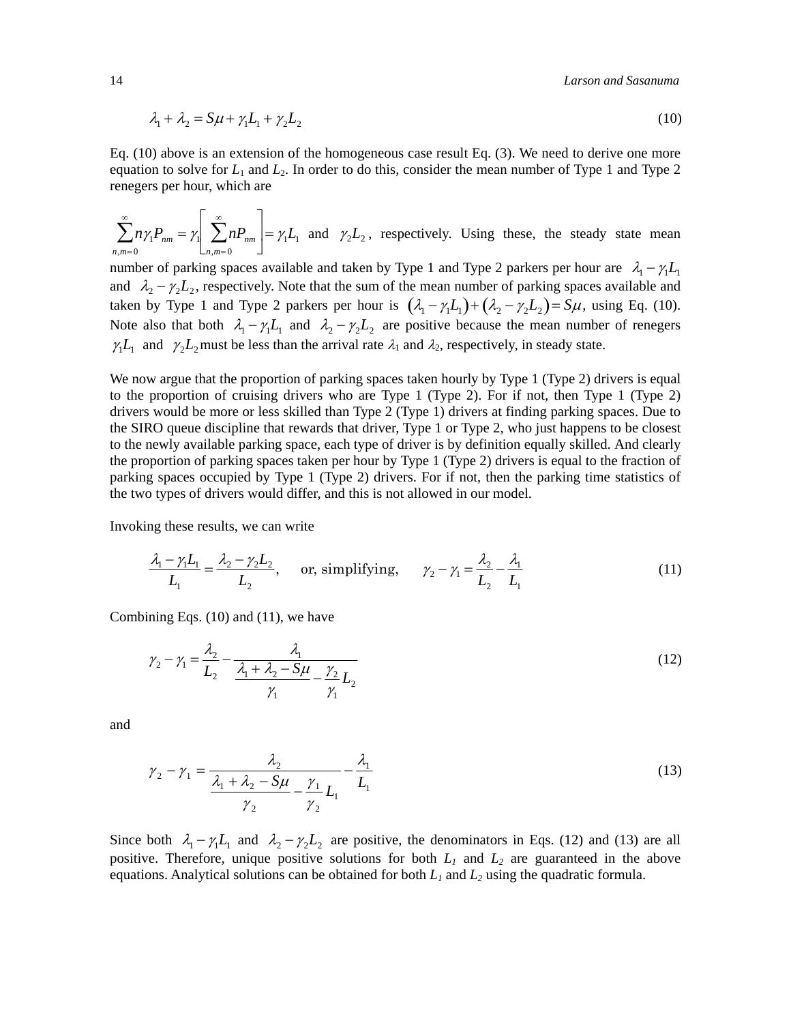14 *Larson and Sasanuma* 

$$
\lambda_1 + \lambda_2 = S\mu + \gamma_1 L_1 + \gamma_2 L_2 \tag{10}
$$

Eq. (10) above is an extension of the homogeneous case result Eq. (3). We need to derive one more equation to solve for  $L_1$  and  $L_2$ . In order to do this, consider the mean number of Type 1 and Type 2 renegers per hour, which are

$$
\sum_{n,m=0}^{\infty} n\gamma_1 P_{nm} = \gamma_1 \left[ \sum_{n,m=0}^{\infty} n P_{nm} \right] = \gamma_1 L_1 \text{ and } \gamma_2 L_2, \text{ respectively. Using these, the steady state mean}
$$

number of parking spaces available and taken by Type 1 and Type 2 parkers per hour are  $\lambda_1 - \gamma_1 L_1$ and  $\lambda_2 - \gamma_2 L_2$ , respectively. Note that the sum of the mean number of parking spaces available and taken by Type 1 and Type 2 parkers per hour is  $(\lambda_1 - \gamma_1 L_1) + (\lambda_2 - \gamma_2 L_2) = S\mu$ , using Eq. (10). Note also that both  $\lambda_1 - \gamma_1 L_1$  and  $\lambda_2 - \gamma_2 L_2$  are positive because the mean number of renegers  $\gamma_1 L_1$  and  $\gamma_2 L_2$  must be less than the arrival rate  $\lambda_1$  and  $\lambda_2$ , respectively, in steady state.

We now argue that the proportion of parking spaces taken hourly by Type 1 (Type 2) drivers is equal to the proportion of cruising drivers who are Type 1 (Type 2). For if not, then Type 1 (Type 2) drivers would be more or less skilled than Type 2 (Type 1) drivers at finding parking spaces. Due to the SIRO queue discipline that rewards that driver, Type 1 or Type 2, who just happens to be closest to the newly available parking space, each type of driver is by definition equally skilled. And clearly the proportion of parking spaces taken per hour by Type 1 (Type 2) drivers is equal to the fraction of parking spaces occupied by Type 1 (Type 2) drivers. For if not, then the parking time statistics of the two types of drivers would differ, and this is not allowed in our model.

Invoking these results, we can write

$$
\frac{\lambda_1 - \gamma_1 L_1}{L_1} = \frac{\lambda_2 - \gamma_2 L_2}{L_2}, \quad \text{or, simplifying,} \quad \gamma_2 - \gamma_1 = \frac{\lambda_2}{L_2} - \frac{\lambda_1}{L_1}
$$
(11)

Combining Eqs. (10) and (11), we have

$$
\gamma_2 - \gamma_1 = \frac{\lambda_2}{L_2} - \frac{\lambda_1}{\frac{\lambda_1 + \lambda_2 - S\mu}{\gamma_1} - \frac{\gamma_2}{\gamma_1} L_2}
$$
\n(12)

and

$$
\gamma_2 - \gamma_1 = \frac{\lambda_2}{\frac{\lambda_1 + \lambda_2 - S\mu}{\gamma_2} - \frac{\gamma_1}{\gamma_2} L_1} - \frac{\lambda_1}{L_1}
$$
\n(13)

Since both  $\lambda_1 - \gamma_1 L_1$  and  $\lambda_2 - \gamma_2 L_2$  are positive, the denominators in Eqs. (12) and (13) are all positive. Therefore, unique positive solutions for both  $L_1$  and  $L_2$  are guaranteed in the above equations. Analytical solutions can be obtained for both  $L_1$  and  $L_2$  using the quadratic formula.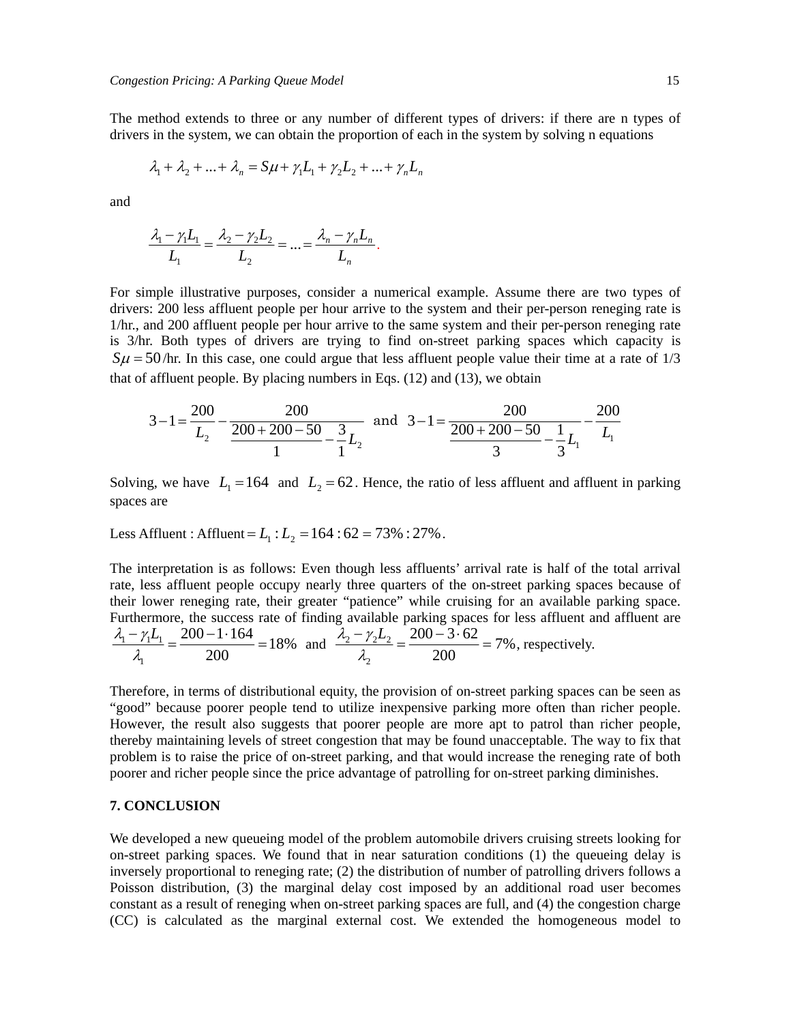The method extends to three or any number of different types of drivers: if there are n types of drivers in the system, we can obtain the proportion of each in the system by solving n equations

$$
\lambda_1 + \lambda_2 + \ldots + \lambda_n = S\mu + \gamma_1 L_1 + \gamma_2 L_2 + \ldots + \gamma_n L_n
$$

and

$$
\frac{\lambda_1 - \gamma_1 L_1}{L_1} = \frac{\lambda_2 - \gamma_2 L_2}{L_2} = \dots = \frac{\lambda_n - \gamma_n L_n}{L_n}.
$$

For simple illustrative purposes, consider a numerical example. Assume there are two types of drivers: 200 less affluent people per hour arrive to the system and their per-person reneging rate is 1/hr., and 200 affluent people per hour arrive to the same system and their per-person reneging rate is 3/hr. Both types of drivers are trying to find on-street parking spaces which capacity is  $S\mu = 50$ /hr. In this case, one could argue that less affluent people value their time at a rate of 1/3 that of affluent people. By placing numbers in Eqs. (12) and (13), we obtain

$$
3-1 = \frac{200}{L_2} - \frac{200}{\frac{200+200-50}{1} - \frac{3}{1}L_2}
$$
 and 
$$
3-1 = \frac{200}{\frac{200+200-50}{3} - \frac{1}{3}L_1} - \frac{200}{L_1}
$$

Solving, we have  $L_1 = 164$  and  $L_2 = 62$ . Hence, the ratio of less affluent and affluent in parking spaces are

Less Affluent : Affluent =  $L_1$  :  $L_2$  = 164 : 62 = 73% : 27%.

The interpretation is as follows: Even though less affluents' arrival rate is half of the total arrival rate, less affluent people occupy nearly three quarters of the on-street parking spaces because of their lower reneging rate, their greater "patience" while cruising for an available parking space. Furthermore, the success rate of finding available parking spaces for less affluent and affluent are  $\lambda_1 - \gamma_1 L_1$  $\lambda_{1}$  $=\frac{200-1.164}{200}$  = 18% and  $\frac{\lambda_2 - \gamma_2 L_2}{\lambda_2}$  $=\frac{200-3.62}{200}$  = 7%, respectively.

Therefore, in terms of distributional equity, the provision of on-street parking spaces can be seen as "good" because poorer people tend to utilize inexpensive parking more often than richer people. However, the result also suggests that poorer people are more apt to patrol than richer people, thereby maintaining levels of street congestion that may be found unacceptable. The way to fix that problem is to raise the price of on-street parking, and that would increase the reneging rate of both poorer and richer people since the price advantage of patrolling for on-street parking diminishes.

# **7. CONCLUSION**

We developed a new queueing model of the problem automobile drivers cruising streets looking for on-street parking spaces. We found that in near saturation conditions (1) the queueing delay is inversely proportional to reneging rate; (2) the distribution of number of patrolling drivers follows a Poisson distribution, (3) the marginal delay cost imposed by an additional road user becomes constant as a result of reneging when on-street parking spaces are full, and (4) the congestion charge (CC) is calculated as the marginal external cost. We extended the homogeneous model to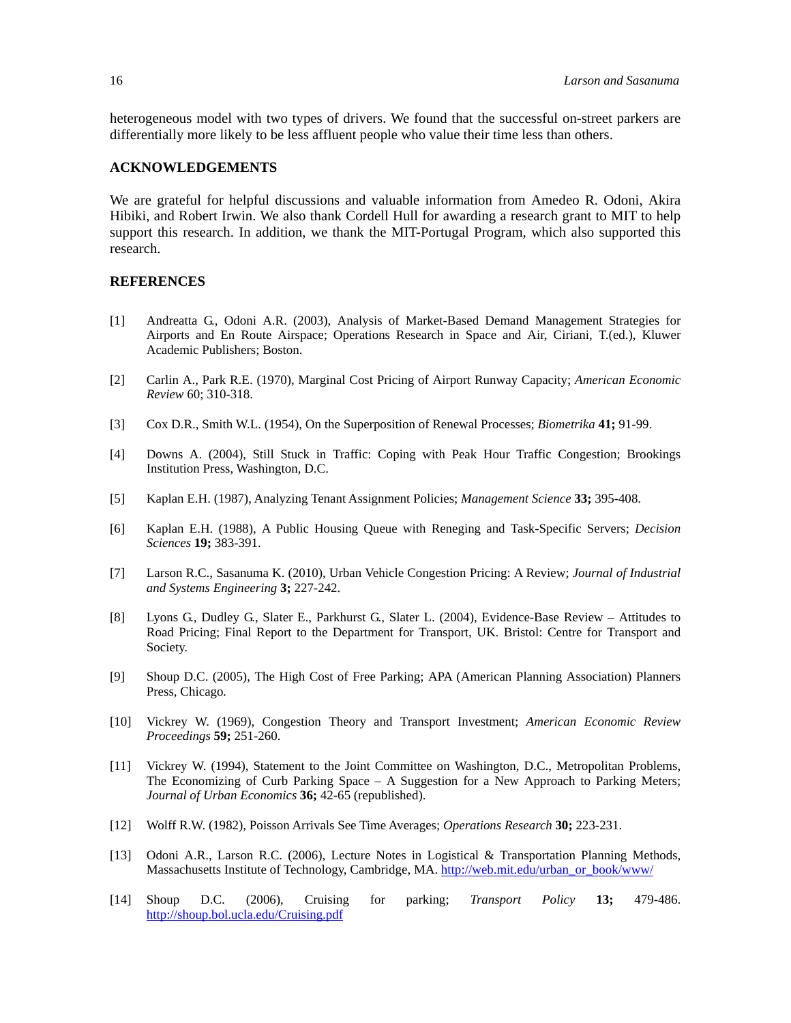heterogeneous model with two types of drivers. We found that the successful on-street parkers are differentially more likely to be less affluent people who value their time less than others.

#### **ACKNOWLEDGEMENTS**

We are grateful for helpful discussions and valuable information from Amedeo R. Odoni, Akira Hibiki, and Robert Irwin. We also thank Cordell Hull for awarding a research grant to MIT to help support this research. In addition, we thank the MIT-Portugal Program, which also supported this research.

#### **REFERENCES**

- [1] Andreatta G., Odoni A.R. (2003), Analysis of Market-Based Demand Management Strategies for Airports and En Route Airspace; Operations Research in Space and Air, Ciriani, T.(ed.), Kluwer Academic Publishers; Boston.
- [2] Carlin A., Park R.E. (1970), Marginal Cost Pricing of Airport Runway Capacity; *American Economic Review* 60; 310-318.
- [3] Cox D.R., Smith W.L. (1954), On the Superposition of Renewal Processes; *Biometrika* **41;** 91-99.
- [4] Downs A. (2004), Still Stuck in Traffic: Coping with Peak Hour Traffic Congestion; Brookings Institution Press, Washington, D.C.
- [5] Kaplan E.H. (1987), Analyzing Tenant Assignment Policies; *Management Science* **33;** 395-408.
- [6] Kaplan E.H. (1988), A Public Housing Queue with Reneging and Task-Specific Servers; *Decision Sciences* **19;** 383-391.
- [7] Larson R.C., Sasanuma K. (2010), Urban Vehicle Congestion Pricing: A Review; *Journal of Industrial and Systems Engineering* **3;** 227-242.
- [8] Lyons G., Dudley G., Slater E., Parkhurst G., Slater L. (2004), Evidence-Base Review Attitudes to Road Pricing; Final Report to the Department for Transport, UK. Bristol: Centre for Transport and Society.
- [9] Shoup D.C. (2005), The High Cost of Free Parking; APA (American Planning Association) Planners Press, Chicago*.*
- [10] Vickrey W. (1969), Congestion Theory and Transport Investment; *American Economic Review Proceedings* **59;** 251-260.
- [11] Vickrey W. (1994), Statement to the Joint Committee on Washington, D.C., Metropolitan Problems, The Economizing of Curb Parking Space – A Suggestion for a New Approach to Parking Meters; *Journal of Urban Economics* **36;** 42-65 (republished).
- [12] Wolff R.W. (1982), Poisson Arrivals See Time Averages; *Operations Research* **30;** 223-231.
- [13] Odoni A.R., Larson R.C. (2006), Lecture Notes in Logistical & Transportation Planning Methods, Massachusetts Institute of Technology, Cambridge, MA. http://web.mit.edu/urban\_or\_book/www/
- [14] Shoup D.C. (2006), Cruising for parking; *Transport Policy* **13;** 479-486. http://shoup.bol.ucla.edu/Cruising.pdf